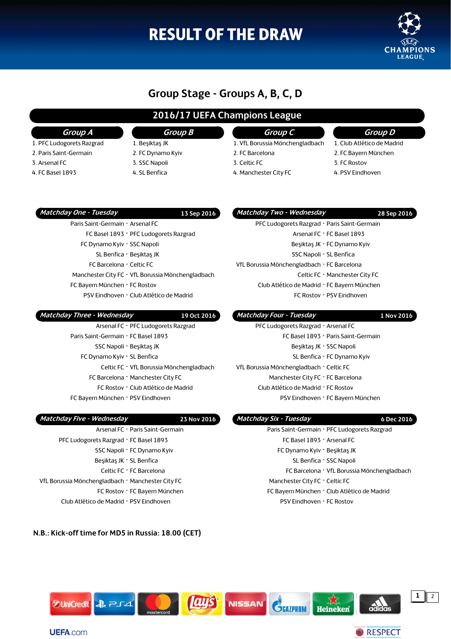# **RESULT OF THE DRAW**



### **Group Stage - Groups A, B, C, D**

### **2016/17 UEFA Champions League**

### **Group A**

- 1. PFC Ludogorets Razgrad
- 2. Paris Saint-Germain
- 3. Arsenal FC
- 4. FC Basel 1893

### **Group B** 1. Beşiktaş JK

- 2. FC Dynamo Kyiv
- 3. SSC Napoli
- 4. SL Benfica

### **Group C**

- 1. VfL Borussia Mönchengladbach 2. FC Barcelona
- 3. Celtic FC
- 4. Manchester City FC

### **Group D**

- 1. Club Atlético de Madrid 2. FC Bayern München
- 3. FC Rostov
- 4. PSV Eindhoven

### **Matchday One - Tuesday 13 Sep 2016**

### Paris Saint-Germain **-** Arsenal FC FC Basel 1893 **-** PFC Ludogorets Razgrad FC Dynamo Kyiv **-** SSC Napoli SL Benfica **-** Beşiktaş JK FC Barcelona **-** Celtic FC Manchester City FC **-** VfL Borussia Mönchengladbach FC Bayern München **-** FC Rostov PSV Eindhoven **-** Club Atlético de Madrid

| Matchday Three - Wednesday               | 19 Oct 2016 |
|------------------------------------------|-------------|
| Arsenal FC - PFC Ludogorets Razgrad      |             |
| Paris Saint-Germain - FC Basel 1893      |             |
| SSC Napoli - Beşiktas JK                 |             |
| FC Dynamo Kyiv - SL Benfica              |             |
| Celtic FC - VfL Borussia Mönchengladbach |             |
| FC Barcelona - Manchester City FC        |             |
| FC Rostov - Club Atlético de Madrid      |             |
| FC Bayern München - PSV Eindhoven        |             |

#### VfL Borussia Mönchengladbach **-** FC Barcelona Celtic FC **-** Manchester City FC

Club Atlético de Madrid **-** FC Bayern München

 **Matchday Two - Wednesday 28 Sep 2016** PFC Ludogorets Razgrad **-** Paris Saint-Germain

> Arsenal FC **-** FC Basel 1893 Beşiktaş JK **-** FC Dynamo Kyiv SSC Napoli **-** SL Benfica

FC Rostov **-** PSV Eindhoven

### **Matchday Four - Tuesday 1 Nov 2016**

| PFC Ludogorets Razgrad - Arsenal FC      |  |
|------------------------------------------|--|
| FC Basel 1893 - Paris Saint-Germain      |  |
| Beşiktaş JK - SSC Napoli                 |  |
| SL Benfica - FC Dynamo Kyiv              |  |
| VfL Borussia Mönchengladbach - Celtic FC |  |
| Manchester City FC - FC Barcelona        |  |
| Club Atlético de Madrid - FC Rostov      |  |
| PSV Eindhoven - FC Bayern München        |  |

PSV Eindhoven **-** FC Rostov

#### **Matchday Five - Wednesday 23 Nov 2016** Arsenal FC **-** Paris Saint-Germain PFC Ludogorets Razgrad **-** FC Basel 1893 SSC Napoli **-** FC Dynamo Kyiv Beşiktaş JK **-** SL Benfica Celtic FC **-** FC Barcelona VfL Borussia Mönchengladbach **-** Manchester City FC FC Rostov **-** FC Bayern München *Matchday Six - Tuesday* **6 Dec 2016** Paris Saint-Germain **-** PFC Ludogorets Razgrad FC Basel 1893 **-** Arsenal FC FC Dynamo Kyiv **-** Beşiktaş JK SL Benfica **-** SSC Napoli FC Barcelona **-** VfL Borussia Mönchengladbach Manchester City FC **-** Celtic FC FC Bayern München **-** Club Atlético de Madrid

Club Atlético de Madrid **-** PSV Eindhoven

### **N.B.: Kick-off time for MD5 in Russia: 18.00 (CET)**